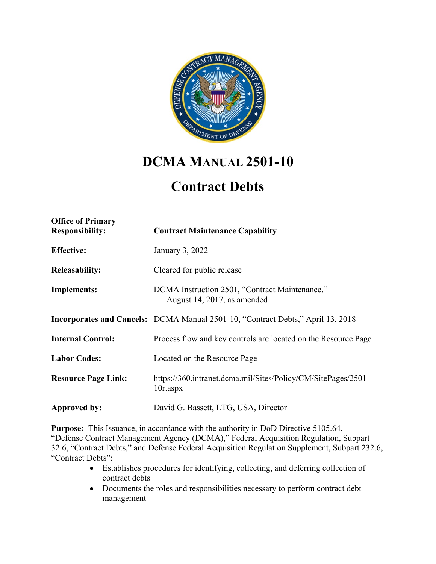

# **DCMA MANUAL 2501-10**

# **Contract Debts**

| <b>Office of Primary</b><br><b>Responsibility:</b> | <b>Contract Maintenance Capability</b>                                          |
|----------------------------------------------------|---------------------------------------------------------------------------------|
| <b>Effective:</b>                                  | January 3, 2022                                                                 |
| <b>Releasability:</b>                              | Cleared for public release                                                      |
| <b>Implements:</b>                                 | DCMA Instruction 2501, "Contract Maintenance,"<br>August 14, 2017, as amended   |
|                                                    | Incorporates and Cancels: DCMA Manual 2501-10, "Contract Debts," April 13, 2018 |
| <b>Internal Control:</b>                           | Process flow and key controls are located on the Resource Page                  |
| <b>Labor Codes:</b>                                | Located on the Resource Page                                                    |
| <b>Resource Page Link:</b>                         | https://360.intranet.dcma.mil/Sites/Policy/CM/SitePages/2501-<br>$10r$ .aspx    |
| Approved by:                                       | David G. Bassett, LTG, USA, Director                                            |

**Purpose:** This Issuance, in accordance with the authority in DoD Directive 5105.64, "Defense Contract Management Agency (DCMA)," Federal Acquisition Regulation, Subpart 32.6, "Contract Debts," and Defense Federal Acquisition Regulation Supplement, Subpart 232.6, "Contract Debts":

- Establishes procedures for identifying, collecting, and deferring collection of contract debts
- Documents the roles and responsibilities necessary to perform contract debt management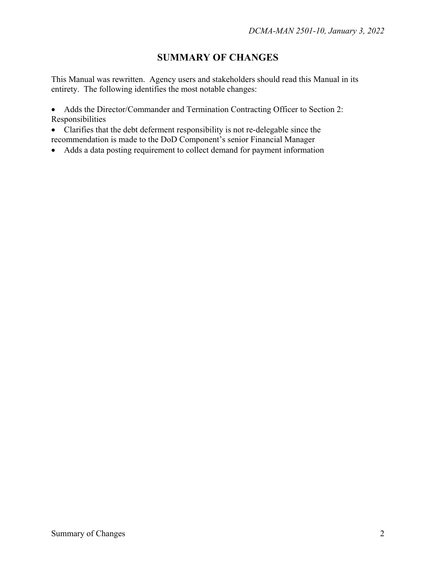## **SUMMARY OF CHANGES**

This Manual was rewritten. Agency users and stakeholders should read this Manual in its entirety. The following identifies the most notable changes:

• Adds the Director/Commander and Termination Contracting Officer to Section 2: Responsibilities

- Clarifies that the debt deferment responsibility is not re-delegable since the recommendation is made to the DoD Component's senior Financial Manager
- Adds a data posting requirement to collect demand for payment information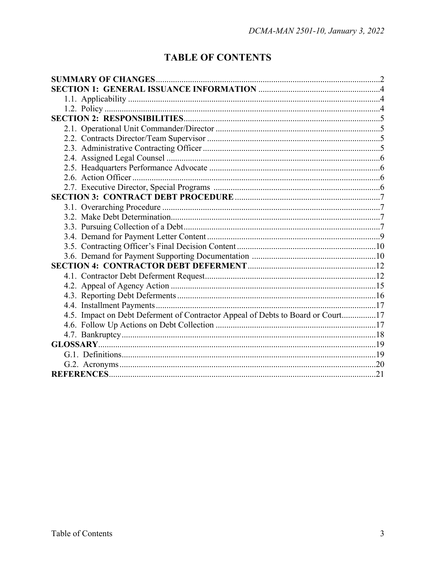## **TABLE OF CONTENTS**

| 4.5. Impact on Debt Deferment of Contractor Appeal of Debts to Board or Court17 |  |  |
|---------------------------------------------------------------------------------|--|--|
|                                                                                 |  |  |
|                                                                                 |  |  |
|                                                                                 |  |  |
|                                                                                 |  |  |
|                                                                                 |  |  |
|                                                                                 |  |  |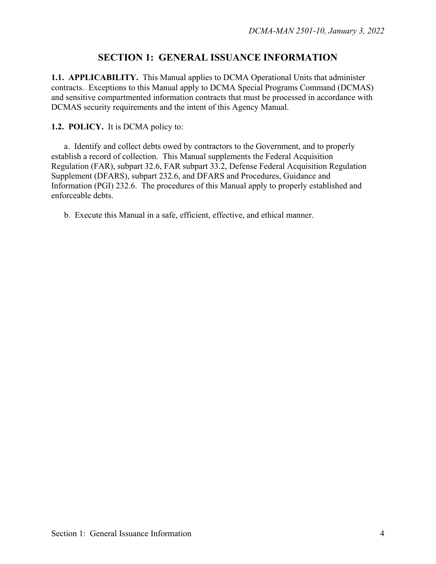### **SECTION 1: GENERAL ISSUANCE INFORMATION**

**1.1. APPLICABILITY.** This Manual applies to DCMA Operational Units that administer contracts. Exceptions to this Manual apply to DCMA Special Programs Command (DCMAS) and sensitive compartmented information contracts that must be processed in accordance with DCMAS security requirements and the intent of this Agency Manual.

#### **1.2. POLICY.** It is DCMA policy to:

a. Identify and collect debts owed by contractors to the Government, and to properly establish a record of collection. This Manual supplements the Federal Acquisition Regulation (FAR), subpart 32.6, FAR subpart 33.2, Defense Federal Acquisition Regulation Supplement (DFARS), subpart 232.6, and DFARS and Procedures, Guidance and Information (PGI) 232.6. The procedures of this Manual apply to properly established and enforceable debts.

b. Execute this Manual in a safe, efficient, effective, and ethical manner.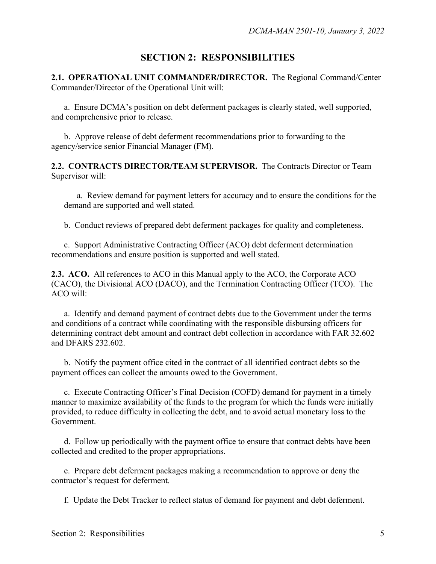## **SECTION 2: RESPONSIBILITIES**

**2.1. OPERATIONAL UNIT COMMANDER/DIRECTOR.** The Regional Command/Center Commander/Director of the Operational Unit will:

 a. Ensure DCMA's position on debt deferment packages is clearly stated, well supported, and comprehensive prior to release.

 b. Approve release of debt deferment recommendations prior to forwarding to the agency/service senior Financial Manager (FM).

**2.2. CONTRACTS DIRECTOR/TEAM SUPERVISOR.** The Contracts Director or Team Supervisor will:

 a. Review demand for payment letters for accuracy and to ensure the conditions for the demand are supported and well stated.

b. Conduct reviews of prepared debt deferment packages for quality and completeness.

 c. Support Administrative Contracting Officer (ACO) debt deferment determination recommendations and ensure position is supported and well stated.

**2.3. ACO.** All references to ACO in this Manual apply to the ACO, the Corporate ACO (CACO), the Divisional ACO (DACO), and the Termination Contracting Officer (TCO). The ACO will:

 a. Identify and demand payment of contract debts due to the Government under the terms and conditions of a contract while coordinating with the responsible disbursing officers for determining contract debt amount and contract debt collection in accordance with FAR 32.602 and DFARS 232.602.

 b. Notify the payment office cited in the contract of all identified contract debts so the payment offices can collect the amounts owed to the Government.

 c. Execute Contracting Officer's Final Decision (COFD) demand for payment in a timely manner to maximize availability of the funds to the program for which the funds were initially provided, to reduce difficulty in collecting the debt, and to avoid actual monetary loss to the Government.

 d. Follow up periodically with the payment office to ensure that contract debts have been collected and credited to the proper appropriations.

 e. Prepare debt deferment packages making a recommendation to approve or deny the contractor's request for deferment.

f. Update the Debt Tracker to reflect status of demand for payment and debt deferment.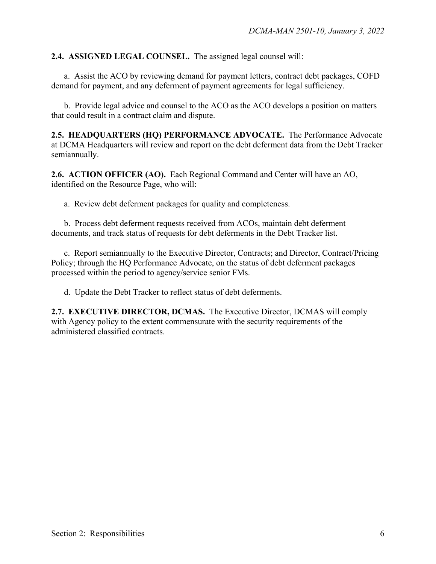#### **2.4. ASSIGNED LEGAL COUNSEL.** The assigned legal counsel will:

 a. Assist the ACO by reviewing demand for payment letters, contract debt packages, COFD demand for payment, and any deferment of payment agreements for legal sufficiency.

 b. Provide legal advice and counsel to the ACO as the ACO develops a position on matters that could result in a contract claim and dispute.

**2.5. HEADQUARTERS (HQ) PERFORMANCE ADVOCATE.** The Performance Advocate at DCMA Headquarters will review and report on the debt deferment data from the Debt Tracker semiannually.

**2.6. ACTION OFFICER (AO).** Each Regional Command and Center will have an AO, identified on the Resource Page, who will:

a. Review debt deferment packages for quality and completeness.

 b. Process debt deferment requests received from ACOs, maintain debt deferment documents, and track status of requests for debt deferments in the Debt Tracker list.

 c. Report semiannually to the Executive Director, Contracts; and Director, Contract/Pricing Policy; through the HQ Performance Advocate, on the status of debt deferment packages processed within the period to agency/service senior FMs.

d. Update the Debt Tracker to reflect status of debt deferments.

**2.7. EXECUTIVE DIRECTOR, DCMAS.** The Executive Director, DCMAS will comply with Agency policy to the extent commensurate with the security requirements of the administered classified contracts.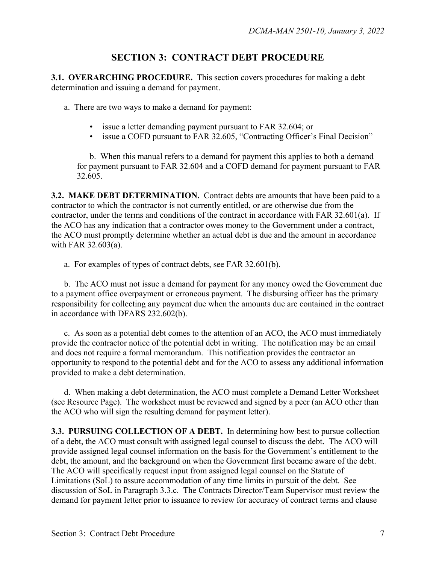## **SECTION 3: CONTRACT DEBT PROCEDURE**

**3.1. OVERARCHING PROCEDURE.** This section covers procedures for making a debt determination and issuing a demand for payment.

a. There are two ways to make a demand for payment:

- issue a letter demanding payment pursuant to FAR 32.604; or
- issue a COFD pursuant to FAR 32.605, "Contracting Officer's Final Decision"

 b. When this manual refers to a demand for payment this applies to both a demand for payment pursuant to FAR 32.604 and a COFD demand for payment pursuant to FAR 32.605.

**3.2. MAKE DEBT DETERMINATION.** Contract debts are amounts that have been paid to a contractor to which the contractor is not currently entitled, or are otherwise due from the contractor, under the terms and conditions of the contract in accordance with FAR 32.601(a). If the ACO has any indication that a contractor owes money to the Government under a contract, the ACO must promptly determine whether an actual debt is due and the amount in accordance with FAR 32.603(a).

a. For examples of types of contract debts, see FAR 32.601(b).

 b. The ACO must not issue a demand for payment for any money owed the Government due to a payment office overpayment or erroneous payment. The disbursing officer has the primary responsibility for collecting any payment due when the amounts due are contained in the contract in accordance with DFARS 232.602(b).

 c. As soon as a potential debt comes to the attention of an ACO, the ACO must immediately provide the contractor notice of the potential debt in writing. The notification may be an email and does not require a formal memorandum. This notification provides the contractor an opportunity to respond to the potential debt and for the ACO to assess any additional information provided to make a debt determination.

 d. When making a debt determination, the ACO must complete a Demand Letter Worksheet (see Resource Page). The worksheet must be reviewed and signed by a peer (an ACO other than the ACO who will sign the resulting demand for payment letter).

**3.3. PURSUING COLLECTION OF A DEBT.** In determining how best to pursue collection of a debt, the ACO must consult with assigned legal counsel to discuss the debt. The ACO will provide assigned legal counsel information on the basis for the Government's entitlement to the debt, the amount, and the background on when the Government first became aware of the debt. The ACO will specifically request input from assigned legal counsel on the Statute of Limitations (SoL) to assure accommodation of any time limits in pursuit of the debt. See discussion of SoL in Paragraph 3.3.c. The Contracts Director/Team Supervisor must review the demand for payment letter prior to issuance to review for accuracy of contract terms and clause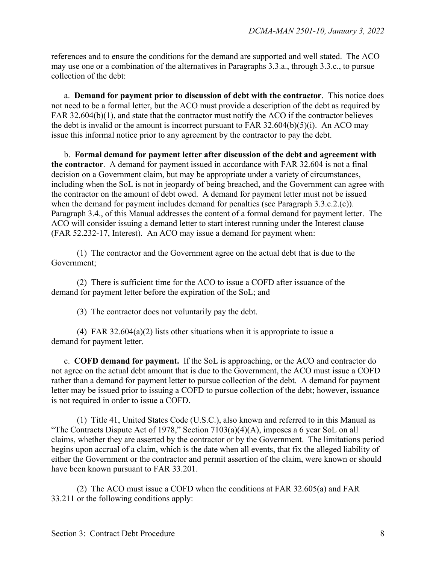references and to ensure the conditions for the demand are supported and well stated. The ACO may use one or a combination of the alternatives in Paragraphs 3.3.a., through 3.3.c., to pursue collection of the debt:

 a. **Demand for payment prior to discussion of debt with the contractor**. This notice does not need to be a formal letter, but the ACO must provide a description of the debt as required by FAR 32.604(b)(1), and state that the contractor must notify the ACO if the contractor believes the debt is invalid or the amount is incorrect pursuant to FAR  $32.604(b)(5)(i)$ . An ACO may issue this informal notice prior to any agreement by the contractor to pay the debt.

 b. **Formal demand for payment letter after discussion of the debt and agreement with the contractor**. A demand for payment issued in accordance with FAR 32.604 is not a final decision on a Government claim, but may be appropriate under a variety of circumstances, including when the SoL is not in jeopardy of being breached, and the Government can agree with the contractor on the amount of debt owed. A demand for payment letter must not be issued when the demand for payment includes demand for penalties (see Paragraph 3.3.c.2.(c)). Paragraph 3.4., of this Manual addresses the content of a formal demand for payment letter. The ACO will consider issuing a demand letter to start interest running under the Interest clause (FAR 52.232-17, Interest). An ACO may issue a demand for payment when:

(1) The contractor and the Government agree on the actual debt that is due to the Government;

(2) There is sufficient time for the ACO to issue a COFD after issuance of the demand for payment letter before the expiration of the SoL; and

(3) The contractor does not voluntarily pay the debt.

(4) FAR 32.604(a)(2) lists other situations when it is appropriate to issue a demand for payment letter.

 c. **COFD demand for payment.** If the SoL is approaching, or the ACO and contractor do not agree on the actual debt amount that is due to the Government, the ACO must issue a COFD rather than a demand for payment letter to pursue collection of the debt. A demand for payment letter may be issued prior to issuing a COFD to pursue collection of the debt; however, issuance is not required in order to issue a COFD.

 (1) Title 41, United States Code (U.S.C.), also known and referred to in this Manual as "The Contracts Dispute Act of 1978," Section 7103(a)(4)(A), imposes a 6 year SoL on all claims, whether they are asserted by the contractor or by the Government. The limitations period begins upon accrual of a claim, which is the date when all events, that fix the alleged liability of either the Government or the contractor and permit assertion of the claim, were known or should have been known pursuant to FAR 33.201.

 (2) The ACO must issue a COFD when the conditions at FAR 32.605(a) and FAR 33.211 or the following conditions apply: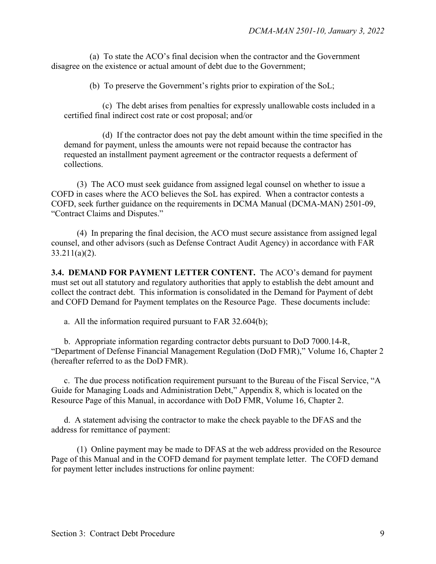(a) To state the ACO's final decision when the contractor and the Government disagree on the existence or actual amount of debt due to the Government;

(b) To preserve the Government's rights prior to expiration of the SoL;

 (c) The debt arises from penalties for expressly unallowable costs included in a certified final indirect cost rate or cost proposal; and/or

 (d) If the contractor does not pay the debt amount within the time specified in the demand for payment, unless the amounts were not repaid because the contractor has requested an installment payment agreement or the contractor requests a deferment of collections.

 (3) The ACO must seek guidance from assigned legal counsel on whether to issue a COFD in cases where the ACO believes the SoL has expired. When a contractor contests a COFD, seek further guidance on the requirements in DCMA Manual (DCMA-MAN) 2501-09, "Contract Claims and Disputes."

 (4) In preparing the final decision, the ACO must secure assistance from assigned legal counsel, and other advisors (such as Defense Contract Audit Agency) in accordance with FAR 33.211(a)(2).

**3.4. DEMAND FOR PAYMENT LETTER CONTENT.** The ACO's demand for payment must set out all statutory and regulatory authorities that apply to establish the debt amount and collect the contract debt. This information is consolidated in the Demand for Payment of debt and COFD Demand for Payment templates on the Resource Page. These documents include:

a. All the information required pursuant to FAR 32.604(b);

 b. Appropriate information regarding contractor debts pursuant to DoD 7000.14-R, "Department of Defense Financial Management Regulation (DoD FMR)," Volume 16, Chapter 2 (hereafter referred to as the DoD FMR).

 c. The due process notification requirement pursuant to the Bureau of the Fiscal Service, "A Guide for Managing Loads and Administration Debt," Appendix 8, which is located on the Resource Page of this Manual, in accordance with DoD FMR, Volume 16, Chapter 2.

 d. A statement advising the contractor to make the check payable to the DFAS and the address for remittance of payment:

 (1) Online payment may be made to DFAS at the web address provided on the Resource Page of this Manual and in the COFD demand for payment template letter. The COFD demand for payment letter includes instructions for online payment: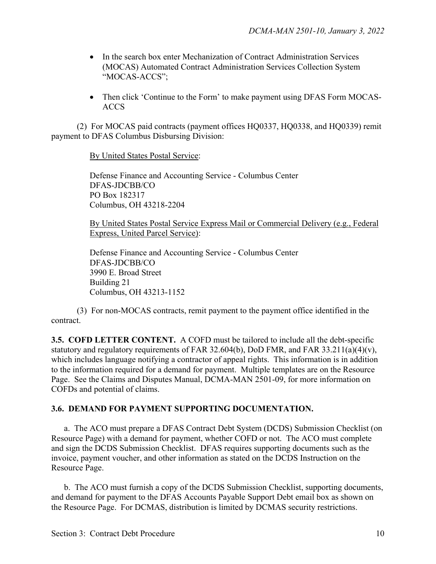- In the search box enter Mechanization of Contract Administration Services (MOCAS) Automated Contract Administration Services Collection System "MOCAS-ACCS";
- Then click 'Continue to the Form' to make payment using DFAS Form MOCAS-ACCS

 (2) For MOCAS paid contracts (payment offices HQ0337, HQ0338, and HQ0339) remit payment to DFAS Columbus Disbursing Division:

By United States Postal Service:

Defense Finance and Accounting Service - Columbus Center DFAS-JDCBB/CO PO Box 182317 Columbus, OH 43218-2204

By United States Postal Service Express Mail or Commercial Delivery (e.g., Federal Express, United Parcel Service):

Defense Finance and Accounting Service - Columbus Center DFAS-JDCBB/CO 3990 E. Broad Street Building 21 Columbus, OH 43213-1152

 (3) For non-MOCAS contracts, remit payment to the payment office identified in the contract.

**3.5. COFD LETTER CONTENT.** A COFD must be tailored to include all the debt-specific statutory and regulatory requirements of FAR 32.604(b), DoD FMR, and FAR 33.211(a)(4)(v), which includes language notifying a contractor of appeal rights. This information is in addition to the information required for a demand for payment. Multiple templates are on the Resource Page. See the Claims and Disputes Manual, DCMA-MAN 2501-09, for more information on COFDs and potential of claims.

#### **3.6. DEMAND FOR PAYMENT SUPPORTING DOCUMENTATION.**

 a. The ACO must prepare a DFAS Contract Debt System (DCDS) Submission Checklist (on Resource Page) with a demand for payment, whether COFD or not. The ACO must complete and sign the DCDS Submission Checklist. DFAS requires supporting documents such as the invoice, payment voucher, and other information as stated on the DCDS Instruction on the Resource Page.

 b. The ACO must furnish a copy of the DCDS Submission Checklist, supporting documents, and demand for payment to the DFAS Accounts Payable Support Debt email box as shown on the Resource Page. For DCMAS, distribution is limited by DCMAS security restrictions.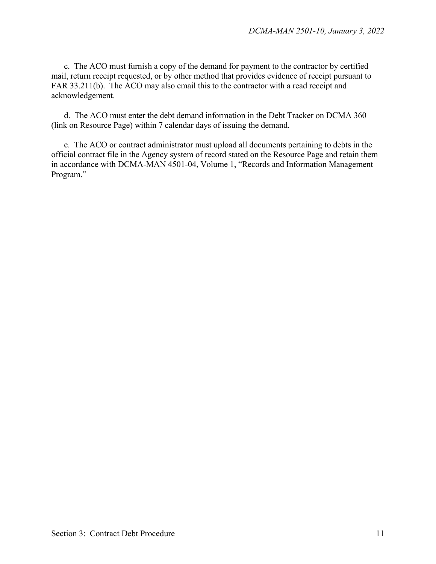c. The ACO must furnish a copy of the demand for payment to the contractor by certified mail, return receipt requested, or by other method that provides evidence of receipt pursuant to FAR 33.211(b). The ACO may also email this to the contractor with a read receipt and acknowledgement.

d. The ACO must enter the debt demand information in the Debt Tracker on DCMA 360 (link on Resource Page) within 7 calendar days of issuing the demand.

e. The ACO or contract administrator must upload all documents pertaining to debts in the official contract file in the Agency system of record stated on the Resource Page and retain them in accordance with DCMA-MAN 4501-04, Volume 1, "Records and Information Management Program."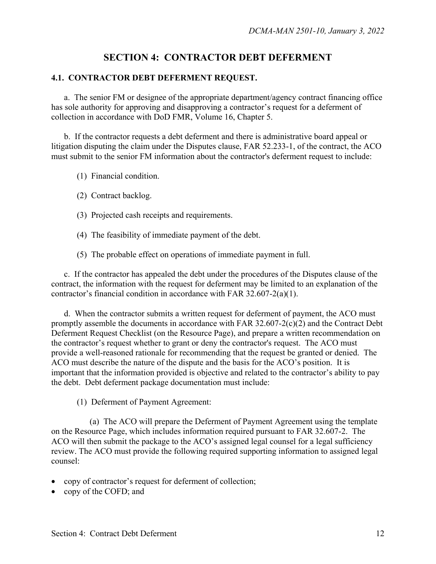## **SECTION 4: CONTRACTOR DEBT DEFERMENT**

#### **4.1. CONTRACTOR DEBT DEFERMENT REQUEST.**

 a. The senior FM or designee of the appropriate department/agency contract financing office has sole authority for approving and disapproving a contractor's request for a deferment of collection in accordance with DoD FMR, Volume 16, Chapter 5.

 b. If the contractor requests a debt deferment and there is administrative board appeal or litigation disputing the claim under the Disputes clause, FAR 52.233-1, of the contract, the ACO must submit to the senior FM information about the contractor's deferment request to include:

- (1) Financial condition.
- (2) Contract backlog.
- (3) Projected cash receipts and requirements.
- (4) The feasibility of immediate payment of the debt.
- (5) The probable effect on operations of immediate payment in full.

 c. If the contractor has appealed the debt under the procedures of the Disputes clause of the contract, the information with the request for deferment may be limited to an explanation of the contractor's financial condition in accordance with FAR 32.607-2(a)(1).

 d. When the contractor submits a written request for deferment of payment, the ACO must promptly assemble the documents in accordance with FAR 32.607-2(c)(2) and the Contract Debt Deferment Request Checklist (on the Resource Page), and prepare a written recommendation on the contractor's request whether to grant or deny the contractor's request. The ACO must provide a well-reasoned rationale for recommending that the request be granted or denied. The ACO must describe the nature of the dispute and the basis for the ACO's position. It is important that the information provided is objective and related to the contractor's ability to pay the debt. Debt deferment package documentation must include:

(1) Deferment of Payment Agreement:

 (a) The ACO will prepare the Deferment of Payment Agreement using the template on the Resource Page, which includes information required pursuant to FAR 32.607-2. The ACO will then submit the package to the ACO's assigned legal counsel for a legal sufficiency review. The ACO must provide the following required supporting information to assigned legal counsel:

- copy of contractor's request for deferment of collection;
- copy of the COFD; and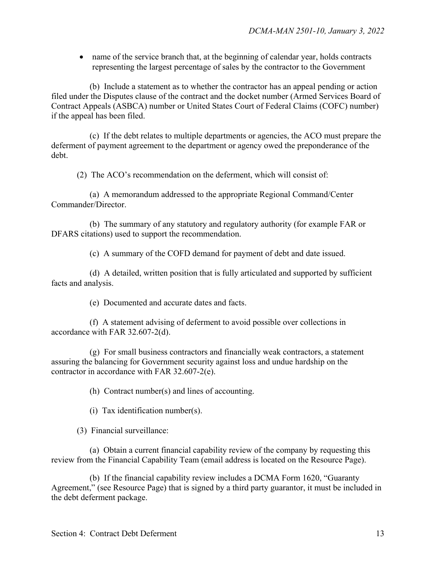• name of the service branch that, at the beginning of calendar year, holds contracts representing the largest percentage of sales by the contractor to the Government

 (b) Include a statement as to whether the contractor has an appeal pending or action filed under the Disputes clause of the contract and the docket number (Armed Services Board of Contract Appeals (ASBCA) number or United States Court of Federal Claims (COFC) number) if the appeal has been filed.

 (c) If the debt relates to multiple departments or agencies, the ACO must prepare the deferment of payment agreement to the department or agency owed the preponderance of the debt.

(2) The ACO's recommendation on the deferment, which will consist of:

 (a) A memorandum addressed to the appropriate Regional Command/Center Commander/Director.

 (b) The summary of any statutory and regulatory authority (for example FAR or DFARS citations) used to support the recommendation.

(c) A summary of the COFD demand for payment of debt and date issued.

 (d) A detailed, written position that is fully articulated and supported by sufficient facts and analysis.

(e) Documented and accurate dates and facts.

 (f) A statement advising of deferment to avoid possible over collections in accordance with FAR 32.607-2(d).

 (g) For small business contractors and financially weak contractors, a statement assuring the balancing for Government security against loss and undue hardship on the contractor in accordance with FAR 32.607-2(e).

(h) Contract number(s) and lines of accounting.

(i) Tax identification number(s).

(3) Financial surveillance:

 (a) Obtain a current financial capability review of the company by requesting this review from the Financial Capability Team (email address is located on the Resource Page).

 (b) If the financial capability review includes a DCMA Form 1620, "Guaranty Agreement," (see Resource Page) that is signed by a third party guarantor, it must be included in the debt deferment package.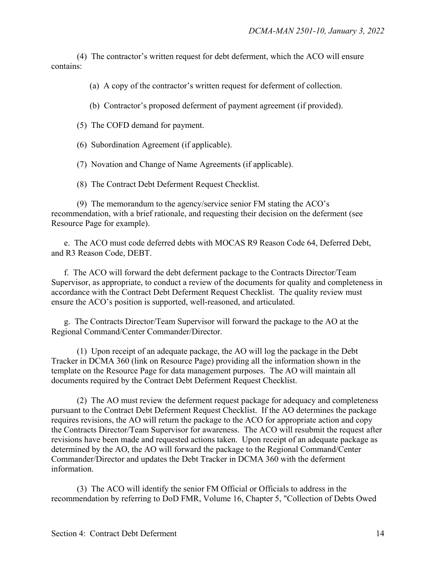(4) The contractor's written request for debt deferment, which the ACO will ensure contains:

(a) A copy of the contractor's written request for deferment of collection.

(b) Contractor's proposed deferment of payment agreement (if provided).

(5) The COFD demand for payment.

(6) Subordination Agreement (if applicable).

(7) Novation and Change of Name Agreements (if applicable).

(8) The Contract Debt Deferment Request Checklist.

 (9) The memorandum to the agency/service senior FM stating the ACO's recommendation, with a brief rationale, and requesting their decision on the deferment (see Resource Page for example).

 e. The ACO must code deferred debts with MOCAS R9 Reason Code 64, Deferred Debt, and R3 Reason Code, DEBT.

f. The ACO will forward the debt deferment package to the Contracts Director/Team Supervisor, as appropriate, to conduct a review of the documents for quality and completeness in accordance with the Contract Debt Deferment Request Checklist. The quality review must ensure the ACO's position is supported, well-reasoned, and articulated.

 g. The Contracts Director/Team Supervisor will forward the package to the AO at the Regional Command/Center Commander/Director.

 (1) Upon receipt of an adequate package, the AO will log the package in the Debt Tracker in DCMA 360 (link on Resource Page) providing all the information shown in the template on the Resource Page for data management purposes. The AO will maintain all documents required by the Contract Debt Deferment Request Checklist.

 (2) The AO must review the deferment request package for adequacy and completeness pursuant to the Contract Debt Deferment Request Checklist. If the AO determines the package requires revisions, the AO will return the package to the ACO for appropriate action and copy the Contracts Director/Team Supervisor for awareness. The ACO will resubmit the request after revisions have been made and requested actions taken. Upon receipt of an adequate package as determined by the AO, the AO will forward the package to the Regional Command/Center Commander/Director and updates the Debt Tracker in DCMA 360 with the deferment information.

 (3) The ACO will identify the senior FM Official or Officials to address in the recommendation by referring to DoD FMR, Volume 16, Chapter 5, "Collection of Debts Owed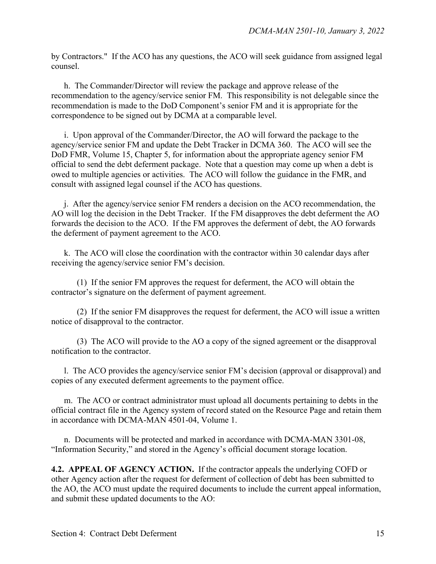by Contractors." If the ACO has any questions, the ACO will seek guidance from assigned legal counsel.

 h. The Commander/Director will review the package and approve release of the recommendation to the agency/service senior FM. This responsibility is not delegable since the recommendation is made to the DoD Component's senior FM and it is appropriate for the correspondence to be signed out by DCMA at a comparable level.

 i. Upon approval of the Commander/Director, the AO will forward the package to the agency/service senior FM and update the Debt Tracker in DCMA 360. The ACO will see the DoD FMR, Volume 15, Chapter 5, for information about the appropriate agency senior FM official to send the debt deferment package. Note that a question may come up when a debt is owed to multiple agencies or activities. The ACO will follow the guidance in the FMR, and consult with assigned legal counsel if the ACO has questions.

 j. After the agency/service senior FM renders a decision on the ACO recommendation, the AO will log the decision in the Debt Tracker. If the FM disapproves the debt deferment the AO forwards the decision to the ACO. If the FM approves the deferment of debt, the AO forwards the deferment of payment agreement to the ACO.

 k. The ACO will close the coordination with the contractor within 30 calendar days after receiving the agency/service senior FM's decision.

 (1) If the senior FM approves the request for deferment, the ACO will obtain the contractor's signature on the deferment of payment agreement.

 (2) If the senior FM disapproves the request for deferment, the ACO will issue a written notice of disapproval to the contractor.

 (3) The ACO will provide to the AO a copy of the signed agreement or the disapproval notification to the contractor.

 l. The ACO provides the agency/service senior FM's decision (approval or disapproval) and copies of any executed deferment agreements to the payment office.

m. The ACO or contract administrator must upload all documents pertaining to debts in the official contract file in the Agency system of record stated on the Resource Page and retain them in accordance with DCMA-MAN 4501-04, Volume 1.

 n. Documents will be protected and marked in accordance with DCMA-MAN 3301-08, "Information Security," and stored in the Agency's official document storage location.

**4.2. APPEAL OF AGENCY ACTION.** If the contractor appeals the underlying COFD or other Agency action after the request for deferment of collection of debt has been submitted to the AO, the ACO must update the required documents to include the current appeal information, and submit these updated documents to the AO: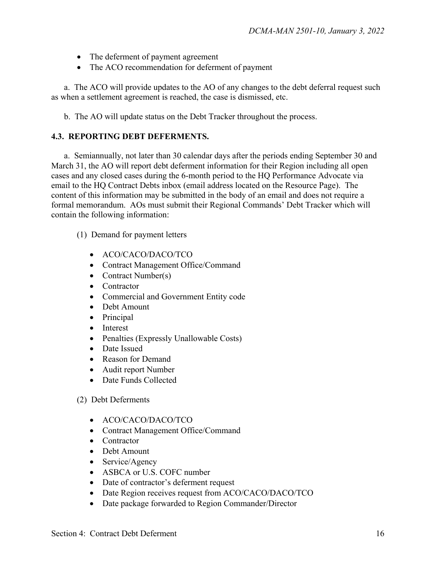- The deferment of payment agreement
- The ACO recommendation for deferment of payment

 a. The ACO will provide updates to the AO of any changes to the debt deferral request such as when a settlement agreement is reached, the case is dismissed, etc.

b. The AO will update status on the Debt Tracker throughout the process.

#### **4.3. REPORTING DEBT DEFERMENTS.**

 a. Semiannually, not later than 30 calendar days after the periods ending September 30 and March 31, the AO will report debt deferment information for their Region including all open cases and any closed cases during the 6-month period to the HQ Performance Advocate via email to the HQ Contract Debts inbox (email address located on the Resource Page). The content of this information may be submitted in the body of an email and does not require a formal memorandum. AOs must submit their Regional Commands' Debt Tracker which will contain the following information:

- (1) Demand for payment letters
	- ACO/CACO/DACO/TCO
	- Contract Management Office/Command
	- Contract Number(s)
	- Contractor
	- Commercial and Government Entity code
	- Debt Amount
	- Principal
	- Interest
	- Penalties (Expressly Unallowable Costs)
	- Date Issued
	- Reason for Demand
	- Audit report Number
	- Date Funds Collected

#### (2) Debt Deferments

- ACO/CACO/DACO/TCO
- Contract Management Office/Command
- Contractor
- Debt Amount
- Service/Agency
- ASBCA or U.S. COFC number
- Date of contractor's deferment request
- Date Region receives request from ACO/CACO/DACO/TCO
- Date package forwarded to Region Commander/Director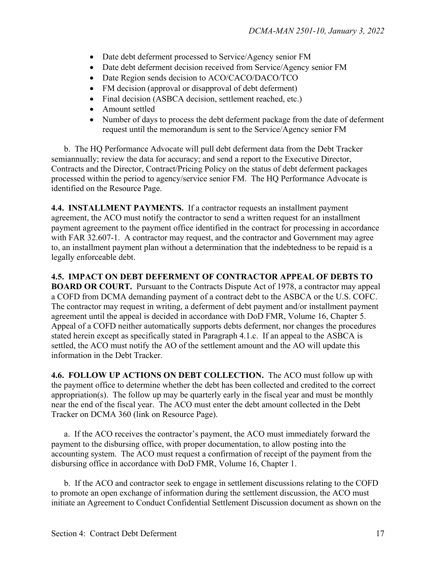- Date debt deferment processed to Service/Agency senior FM
- Date debt deferment decision received from Service/Agency senior FM
- Date Region sends decision to ACO/CACO/DACO/TCO
- FM decision (approval or disapproval of debt deferment)
- Final decision (ASBCA decision, settlement reached, etc.)
- Amount settled
- Number of days to process the debt deferment package from the date of deferment request until the memorandum is sent to the Service/Agency senior FM

 b. The HQ Performance Advocate will pull debt deferment data from the Debt Tracker semiannually; review the data for accuracy; and send a report to the Executive Director, Contracts and the Director, Contract/Pricing Policy on the status of debt deferment packages processed within the period to agency/service senior FM. The HQ Performance Advocate is identified on the Resource Page.

**4.4. INSTALLMENT PAYMENTS.** If a contractor requests an installment payment agreement, the ACO must notify the contractor to send a written request for an installment payment agreement to the payment office identified in the contract for processing in accordance with FAR 32.607-1. A contractor may request, and the contractor and Government may agree to, an installment payment plan without a determination that the indebtedness to be repaid is a legally enforceable debt.

**4.5. IMPACT ON DEBT DEFERMENT OF CONTRACTOR APPEAL OF DEBTS TO BOARD OR COURT.** Pursuant to the Contracts Dispute Act of 1978, a contractor may appeal a COFD from DCMA demanding payment of a contract debt to the ASBCA or the U.S. COFC. The contractor may request in writing, a deferment of debt payment and/or installment payment agreement until the appeal is decided in accordance with DoD FMR, Volume 16, Chapter 5. Appeal of a COFD neither automatically supports debts deferment, nor changes the procedures stated herein except as specifically stated in Paragraph 4.1.c. If an appeal to the ASBCA is settled, the ACO must notify the AO of the settlement amount and the AO will update this information in the Debt Tracker.

**4.6. FOLLOW UP ACTIONS ON DEBT COLLECTION.** The ACO must follow up with the payment office to determine whether the debt has been collected and credited to the correct appropriation(s). The follow up may be quarterly early in the fiscal year and must be monthly near the end of the fiscal year. The ACO must enter the debt amount collected in the Debt Tracker on DCMA 360 (link on Resource Page).

 a. If the ACO receives the contractor's payment, the ACO must immediately forward the payment to the disbursing office, with proper documentation, to allow posting into the accounting system. The ACO must request a confirmation of receipt of the payment from the disbursing office in accordance with DoD FMR, Volume 16, Chapter 1.

 b. If the ACO and contractor seek to engage in settlement discussions relating to the COFD to promote an open exchange of information during the settlement discussion, the ACO must initiate an Agreement to Conduct Confidential Settlement Discussion document as shown on the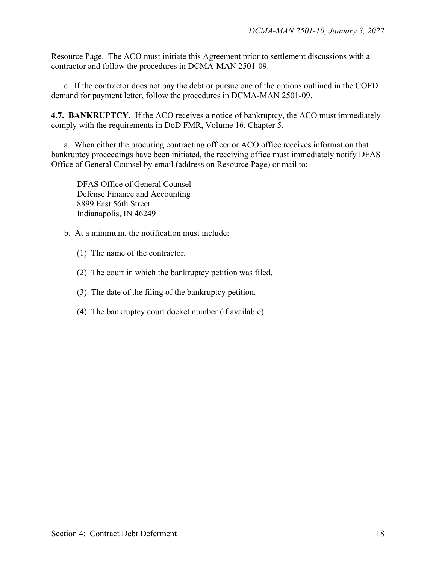Resource Page. The ACO must initiate this Agreement prior to settlement discussions with a contractor and follow the procedures in DCMA-MAN 2501-09.

 c. If the contractor does not pay the debt or pursue one of the options outlined in the COFD demand for payment letter, follow the procedures in DCMA-MAN 2501-09.

**4.7. BANKRUPTCY.** If the ACO receives a notice of bankruptcy, the ACO must immediately comply with the requirements in DoD FMR, Volume 16, Chapter 5.

 a. When either the procuring contracting officer or ACO office receives information that bankruptcy proceedings have been initiated, the receiving office must immediately notify DFAS Office of General Counsel by email (address on Resource Page) or mail to:

 DFAS Office of General Counsel Defense Finance and Accounting 8899 East 56th Street Indianapolis, IN 46249

b. At a minimum, the notification must include:

- (1) The name of the contractor.
- (2) The court in which the bankruptcy petition was filed.
- (3) The date of the filing of the bankruptcy petition.
- (4) The bankruptcy court docket number (if available).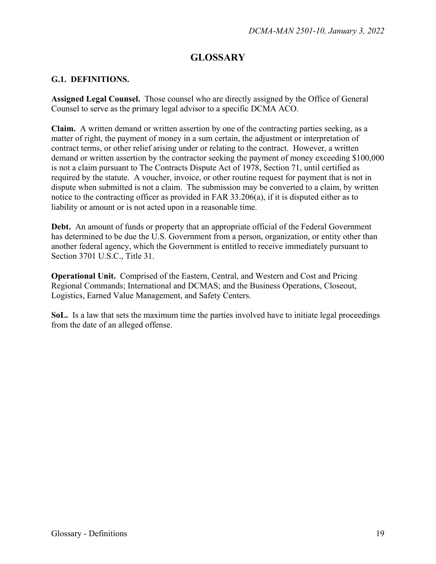## **GLOSSARY**

#### **G.1. DEFINITIONS.**

**Assigned Legal Counsel.** Those counsel who are directly assigned by the Office of General Counsel to serve as the primary legal advisor to a specific DCMA ACO.

**Claim.** A written demand or written assertion by one of the contracting parties seeking, as a matter of right, the payment of money in a sum certain, the adjustment or interpretation of contract terms, or other relief arising under or relating to the contract. However, a written demand or written assertion by the contractor seeking the payment of money exceeding \$100,000 is not a claim pursuant to The Contracts Dispute Act of 1978, Section 71, until certified as required by the statute. A voucher, invoice, or other routine request for payment that is not in dispute when submitted is not a claim. The submission may be converted to a claim, by written notice to the contracting officer as provided in FAR 33.206(a), if it is disputed either as to liability or amount or is not acted upon in a reasonable time.

**Debt.** An amount of funds or property that an appropriate official of the Federal Government has determined to be due the U.S. Government from a person, organization, or entity other than another federal agency, which the Government is entitled to receive immediately pursuant to Section 3701 U.S.C., Title 31.

**Operational Unit.** Comprised of the Eastern, Central, and Western and Cost and Pricing Regional Commands; International and DCMAS; and the Business Operations, Closeout, Logistics, Earned Value Management, and Safety Centers.

**SoL.** Is a law that sets the maximum time the parties involved have to initiate legal proceedings from the date of an alleged offense.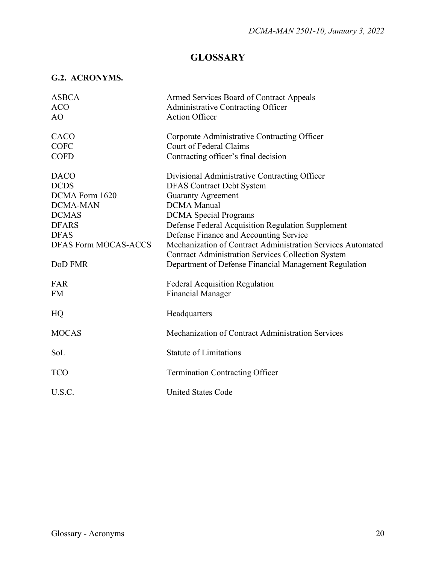## **GLOSSARY**

## **G.2. ACRONYMS.**

| <b>ASBCA</b>                | Armed Services Board of Contract Appeals                    |
|-----------------------------|-------------------------------------------------------------|
| <b>ACO</b>                  | <b>Administrative Contracting Officer</b>                   |
| AO.                         | <b>Action Officer</b>                                       |
| CACO                        | Corporate Administrative Contracting Officer                |
| <b>COFC</b>                 | <b>Court of Federal Claims</b>                              |
| <b>COFD</b>                 | Contracting officer's final decision                        |
| <b>DACO</b>                 | Divisional Administrative Contracting Officer               |
| <b>DCDS</b>                 | <b>DFAS Contract Debt System</b>                            |
| DCMA Form 1620              | <b>Guaranty Agreement</b>                                   |
| <b>DCMA-MAN</b>             | <b>DCMA</b> Manual                                          |
| <b>DCMAS</b>                | <b>DCMA</b> Special Programs                                |
| <b>DFARS</b>                | Defense Federal Acquisition Regulation Supplement           |
| <b>DFAS</b>                 | Defense Finance and Accounting Service                      |
| <b>DFAS Form MOCAS-ACCS</b> | Mechanization of Contract Administration Services Automated |
|                             | <b>Contract Administration Services Collection System</b>   |
| DoD FMR                     | Department of Defense Financial Management Regulation       |
| FAR                         | <b>Federal Acquisition Regulation</b>                       |
| <b>FM</b>                   | <b>Financial Manager</b>                                    |
| HQ                          | Headquarters                                                |
| <b>MOCAS</b>                | Mechanization of Contract Administration Services           |
| SoL                         | <b>Statute of Limitations</b>                               |
| <b>TCO</b>                  | <b>Termination Contracting Officer</b>                      |
|                             |                                                             |
| U.S.C.                      | <b>United States Code</b>                                   |